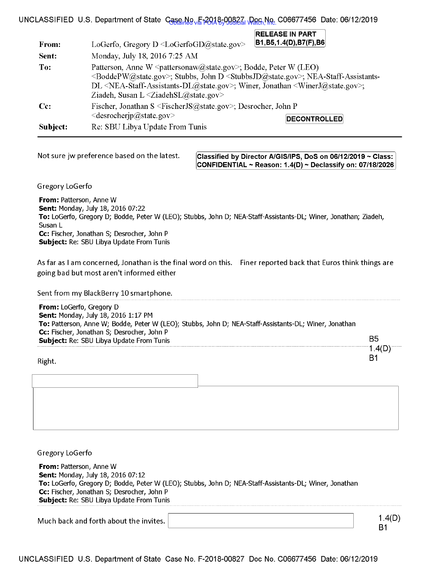| From:    | LoGerfo, Gregory D $\triangle$ LoGerfoGD@state.gov>                                                                                                                                                                                                                                                                                                                                                                                  | <b>RELEASE IN PART</b><br> B1,B5,1.4(D),B7(F),B6                                   |  |
|----------|--------------------------------------------------------------------------------------------------------------------------------------------------------------------------------------------------------------------------------------------------------------------------------------------------------------------------------------------------------------------------------------------------------------------------------------|------------------------------------------------------------------------------------|--|
| Sent:    | Monday, July 18, 2016 7:25 AM                                                                                                                                                                                                                                                                                                                                                                                                        |                                                                                    |  |
| To:      | Patterson, Anne W <pattersonaw@state.gov>; Bodde, Peter W (LEO)<br/><boddepw@state.gov>; Stubbs, John D <stubbsjd@state.gov>; NEA-Staff-Assistants-<br/>DL <nea-staff-assistants-dl@state.gov>; Winer, Jonathan <winerj@state.gov>;<br/>Ziadeh, Susan L <math>\leq</math>ZiadehSL<math>@</math>state.gov&gt;</winerj@state.gov></nea-staff-assistants-dl@state.gov></stubbsjd@state.gov></boddepw@state.gov></pattersonaw@state.gov> |                                                                                    |  |
| $Cc$ :   |                                                                                                                                                                                                                                                                                                                                                                                                                                      | Fischer, Jonathan S <fischerjs@state.gov>; Desrocher, John P</fischerjs@state.gov> |  |
| Subject: | $\leq$ desrocherip@state.gov><br>Re: SBU Libya Update From Tunis                                                                                                                                                                                                                                                                                                                                                                     | <b>DECONTROLLED</b>                                                                |  |

### UNCLASSIFIED U.S. Department of State Case No. E-2018-00827, Doc No. C06677456 Date: 06/12/2019

Not sure jw preference based on the latest. **Classified by Director A/GIS/IPS, DoS on 06/12/2019 ~ Class: CONFIDENTIAL .. Reason: 1.4(0) .. Declassify on: 07/18/2026** 

Gregory LoGerfo

**From:** Patterson, Anne W **Sent:** Monday, July 18, 2016 07:22 **To:** LoGerfo, Gregory D; Bodde, Peter W (LEO); Stubbs, John D; NEA-Staff-Assistants-DL; Winer, Jonathan; Ziadeh, Susan L **Cc:** Fischer, Jonathan S; Desrocher, John P **Subject:** Re: SBU Libya Update From Tunis

As far as I am concerned, Jonathan is the final word on this. Finer reported back that Euros think things are going bad but most aren't informed either

Sent from my BlackBerry 10 smartphone.

| <b>From:</b> LoGerfo, Gregory D<br><b>Sent: Monday, July 18, 2016 1:17 PM</b><br>To: Patterson, Anne W; Bodde, Peter W (LEO); Stubbs, John D; NEA-Staff-Assistants-DL; Winer, Jonathan |         |
|----------------------------------------------------------------------------------------------------------------------------------------------------------------------------------------|---------|
| Cc: Fischer, Jonathan S; Desrocher, John P<br><b>Subject:</b> Re: SBU Libya Update From Tunis                                                                                          | B5      |
| ⊾⊾ا–∶∩                                                                                                                                                                                 | l .4(D) |

Right.

Gregory LoGerfo

**From:** Patterson, Anne W **Sent: Monday, July 18, 2016 07:12 To:** LoGerfo, Gregory D; Bodde, Peter W (LEO); Stubbs, John D; NEA-Staff-Assistants-DL; Winer, Jonathan **Cc:** Fischer, Jonathan S; Desrocher, John P **Subject:** Re: SBU Libya Update From Tunis

Much back and forth about the invites.

1.4(0) B1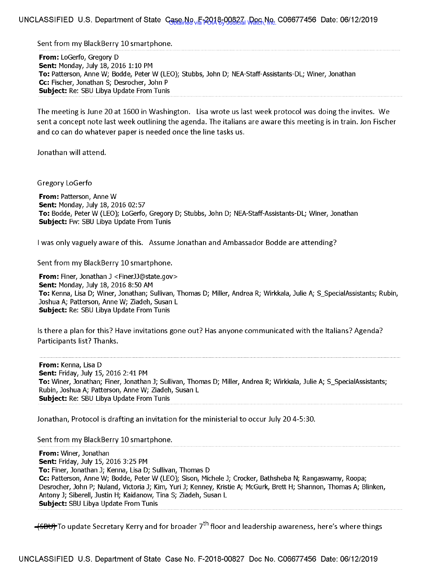Sent from my BlackBerry 10 smartphone.

**From:** LoGerfo, Gregory D **Sent:** Monday, July 18, 2016 1: 10 PM **To:** Patterson, Anne W; Bodde, Peter W (LEO); Stubbs, John D; NEA-Staff-Assistants-DL; Winer, Jonathan **Cc:** Fischer, Jonathan S; Desrocher, John P **Subject:** Re: SBU Libya Update From Tunis

The meeting is June 20 at 1600 in Washington. Lisa wrote us last week protocol was doing the invites. We sent a concept note last week outlining the agenda. The italians are aware this meeting is in train. Jon Fischer and co can do whatever paper is needed once the line tasks us.

Jonathan will attend.

Gregory LoGerfo

**From:** Patterson, Anne W **Sent: Monday, July 18, 2016 02:57 To:** Bodde, Peter W (LEO); LoGerfo, Gregory D; Stubbs, John D; NEA-Staff-Assistants-DL; Winer, Jonathan **Subject: Fw: SBU Libya Update From Tunis** 

I was only vaguely aware of this. Assume Jonathan and Ambassador Bodde are attending?

Sent from my BlackBerry 10 smartphone.

**From:** Finer, Jonathan J <FinerJJ@state.gov> **Sent:** Monday, July 18, 2016 8: 50 AM **To:** Kenna, Lisa D; Winer, Jonathan; Sullivan, Thomas D; Miller, Andrea R; Wirkkala, Julie A; S\_SpecialAssistants; Rubin, Joshua A; Patterson, Anne W; Ziadeh, Susan L **Subject:** Re: SBU Libya Update From Tunis

Is there a plan for this? Have invitations gone out? Has anyone communicated with the Italians? Agenda? Participants list? Thanks.

**From:** Kenna, Lisa D **Sent:** Friday, July 15, 2016 2:41 PM **To:** Winer, Jonathan; Finer, Jonathan J; Sullivan, Thomas D; Miller, Andrea R; Wirkkala, Julie A; S\_SpecialAssistants; Rubin, Joshua A; Patterson, Anne W; Ziadeh, Susan L **Subject:** Re: SBU Libya Update From Tunis

Jonathan, Protocol is drafting an invitation for the ministerial to occur July 20 4-5:30.

Sent from my BlackBerry 10 smartphone.

**From:** Winer, Jonathan **Sent:** Friday, July 15, 2016 3:25 PM **To:** Finer, Jonathan J; Kenna, Lisa D; Sullivan, Thomas D **Cc:** Patterson, Anne W; Bodde, Peter W (LEO); Sison, Michele J; Crocker, Bathsheba N; Rangaswamy, Roopa; Desrocher, John P; Nuland, Victoria J; Kim, Yuri J; Kenney, Kristie A; McGurk, Brett H; Shannon, Thomas A; Blinken, Antony J; Siberell, Justin H; Kaidanow, Tina S; Ziadeh, Susan L **Subject:** SBU Libya Update From Tunis

<del>-(SBU)</del> To update Secretary Kerry and for broader 7<sup>th</sup> floor and leadership awareness, here's where things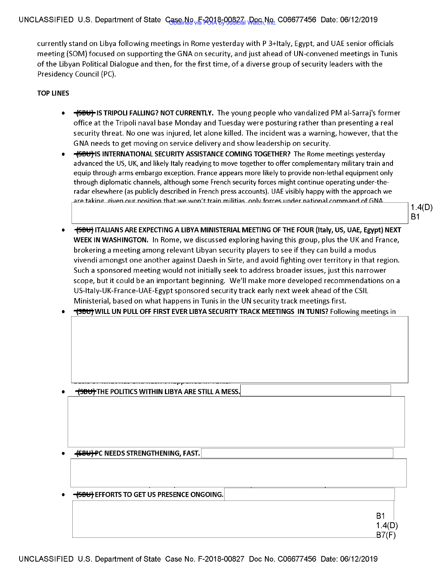# UNCLASSIFIED U.S. Department of State Case No. F-2018-00827, Doc No. C06677456 Date: 06/12/2019

currently stand on Libya following meetings in Rome yesterday with P 3+1taly, Egypt, and UAE senior officials meeting (SOM) focused on supporting the GNA on security, and just ahead of UN-convened meetings in Tunis of the Libyan Political Dialogue and then, for the first time, of a diverse group of security leaders with the Presidency Council (PC).

#### **TOP LINES**

- **<del>(SBU)</del> IS TRIPOLI FALLING? NOT CURRENTLY.** The young people who vandalized PM al-Sarraj's former office at the Tripoli naval base Monday and Tuesday were posturing rather than presenting a real security threat. No one was injured, let alone killed. The incident was a warning, however, that the G NA needs to get moving on service delivery and show leadership on security.
- **<del>- (SBU)</del> IS INTERNATIONAL SECURITY ASSISTANCE COMING TOGETHER?** The Rome meetings vesterday advanced the US, UK, and likely Italy readying to move together to offer complementary military train and equip through arms embargo exception. France appears more likely to provide non-lethal equipment only through diplomatic channels, although some French security forces might continue operating under-theradar elsewhere (as publicly described in French press accounts). UAE visibly happy with the approach we<br>are taking given our position that we won't train militias, only forces under national command of GNA

1.4(0) B1

• ~ **ITALIANS ARE EXPECTING A LIBYA MINISTERIAL MEETING OF THE FOUR (Italy, US, UAE, Egypt) NEXT WEEK IN WASHINGTON.** In Rome, we discussed exploring having this group, plus the UK and France, brokering a meeting among relevant Libyan security players to see if they can build a modus vivendi amongst one another against Daesh in Sirte, and avoid fighting over territory in that region. Such a sponsored meeting would not initially seek to address broader issues, just this narrower scope, but it could be an important beginning. We'll make more developed recommendations on a US-ltaly-UK-France-UAE-Egypt sponsored security track early next week ahead of the CSIL Ministerial, based on what happens in Tunis in the UN security track meetings first.

|  | • <del>(SBU)</del> WILL UN PULL OFF FIRST EVER LIBYA SECURITY TRACK MEETINGS  IN TUNIS? Following meetings in |
|--|---------------------------------------------------------------------------------------------------------------|
|--|---------------------------------------------------------------------------------------------------------------|

**(SBU)** THE POLITICS WITHIN LIBYA ARE STILL A MESS.

**4SBUTPC NEEDS STRENGTHENING, FAST.** 

<del>- (SBU)</del> EFFORTS TO GET US PRESENCE ONGOING.

| в1     |  |
|--------|--|
| 1.4(D) |  |
| B7(F)  |  |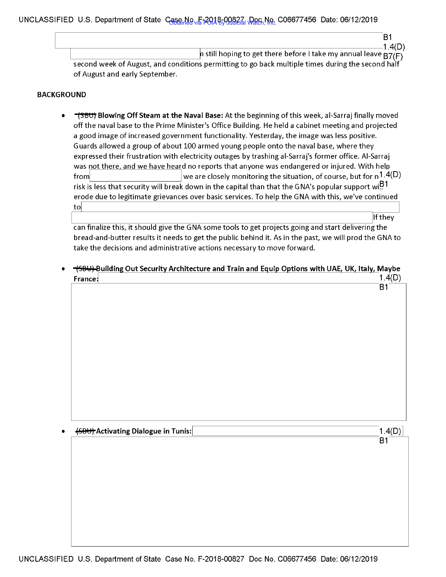# UNCLASSIFIED U.S. Department of State Case No. F-2018-00827, Doc No. C06677456 Date: 06/12/2019

| 1.4(D)<br>h still hoping to get there before I take my annual leave $B7(F)$                       |
|---------------------------------------------------------------------------------------------------|
| second week of August, and conditions permitting to go back multiple times during the second half |
| of August and early September.                                                                    |

#### **BACKGROUND**

• **"fffltjt Blowing Off Steam at the Naval Base:** At the beginning of this week, al-Sarraj finally moved off the naval base to the Prime Minister's Office Building. He held a cabinet meeting and projected a good image of increased government functionality. Yesterday, the image was less positive. Guards allowed a group of about 100 armed young people onto the naval base, where they expressed their frustration with electricity outages by trashing al-Sarraj's former office. Al-Sarraj was not there, and we have heard no reports that anyone was endangered or injured. With help from  $|$  we are closely monitoring the situation, of course, but for  $n^{1.4(D)}$ risk is less that security will break down in the capital than that the GNA's popular support wi $^{191}$ erode due to legitimate grievances over basic services. To help the GNA with this, we've continued to

IF THE TO THE TO THE TO THE TO THE TO THE TO THE TO THE TO THE TO THE TO THE TO THE TO THE TO THE TO THE TO TH<br>| Can finalize this, it should give the GNA some tools to get projects going and start delivering the bread-and-butter results it needs to get the public behind it. As in the past, we will prod the GNA to take the decisions and administrative actions necessary to move forward.

 $\frac{1}{584}$ Building Out Security Architecture and Train and Equip Options with UAE, UK, Italy, Maybe France:  $1.4(D)$ B1

 $\overline{45B}$  Activating Dialogue in Tunis:  $\overline{1.4(D)}$ 

B1